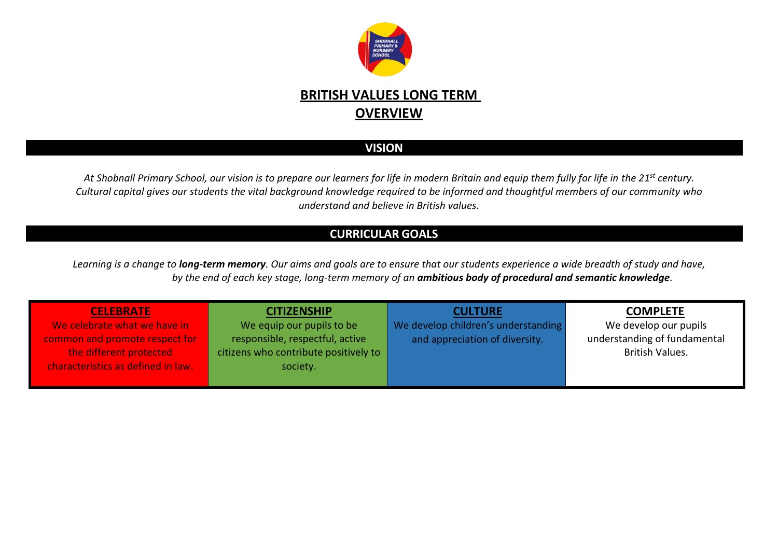

## **BRITISH VALUES LONG TERM OVERVIEW**

## **VISION**

*At Shobnall Primary School, our vision is to prepare our learners for life in modern Britain and equip them fully for life in the 21st century. Cultural capital gives our students the vital background knowledge required to be informed and thoughtful members of our community who understand and believe in British values.*

## **CURRICULAR GOALS**

*Learning is a change to long-term memory. Our aims and goals are to ensure that our students experience a wide breadth of study and have, by the end of each key stage, long-term memory of an ambitious body of procedural and semantic knowledge.*

| <b>CELEBRATE</b>                   | <b>CITIZENSHIP</b>                    | <b>CULTURE</b>                      | <b>COMPLETE</b>              |
|------------------------------------|---------------------------------------|-------------------------------------|------------------------------|
| We celebrate what we have in       | We equip our pupils to be             | We develop children's understanding | We develop our pupils        |
| common and promote respect for     | responsible, respectful, active       | and appreciation of diversity.      | understanding of fundamental |
| the different protected            | citizens who contribute positively to |                                     | <b>British Values.</b>       |
| characteristics as defined in law. | society.                              |                                     |                              |
|                                    |                                       |                                     |                              |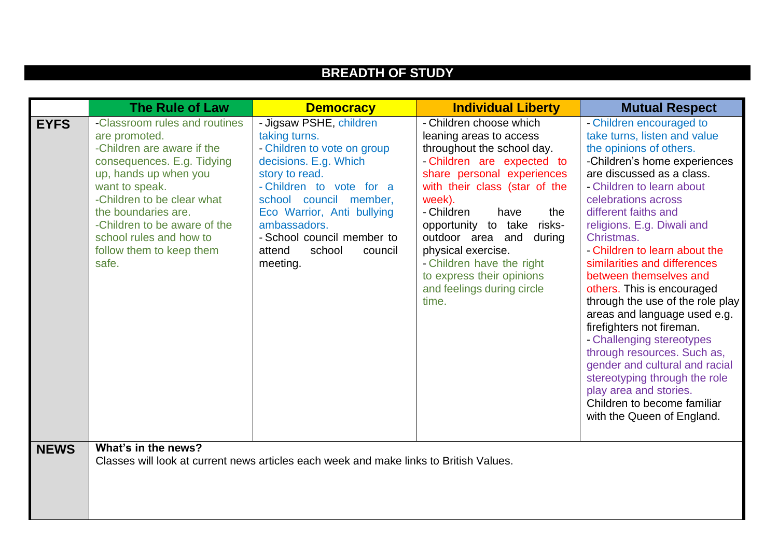|             |                                                                                                                                                                                                                            | <b>BREADTH OF STUDY</b>                                                                                                                                                                                              |                                                                                                                                                                                                                                                                                                                     |                                                                                                                                                                                                                                                                                                                                                                                                                                                                                                                                                                                                                                   |
|-------------|----------------------------------------------------------------------------------------------------------------------------------------------------------------------------------------------------------------------------|----------------------------------------------------------------------------------------------------------------------------------------------------------------------------------------------------------------------|---------------------------------------------------------------------------------------------------------------------------------------------------------------------------------------------------------------------------------------------------------------------------------------------------------------------|-----------------------------------------------------------------------------------------------------------------------------------------------------------------------------------------------------------------------------------------------------------------------------------------------------------------------------------------------------------------------------------------------------------------------------------------------------------------------------------------------------------------------------------------------------------------------------------------------------------------------------------|
| <b>EYFS</b> | <b>The Rule of Law</b><br>-Classroom rules and routines<br>are promoted.<br>-Children are aware if the                                                                                                                     | <b>Democracy</b><br>- Jigsaw PSHE, children<br>taking turns.<br>- Children to vote on group                                                                                                                          | <b>Individual Liberty</b><br>- Children choose which<br>leaning areas to access<br>throughout the school day.                                                                                                                                                                                                       | <b>Mutual Respect</b><br>- Children encouraged to<br>take turns, listen and value<br>the opinions of others.                                                                                                                                                                                                                                                                                                                                                                                                                                                                                                                      |
|             | consequences. E.g. Tidying<br>up, hands up when you<br>want to speak.<br>-Children to be clear what<br>the boundaries are.<br>-Children to be aware of the<br>school rules and how to<br>follow them to keep them<br>safe. | decisions. E.g. Which<br>story to read.<br>- Children to vote for a<br>school council member,<br>Eco Warrior, Anti bullying<br>ambassadors.<br>- School council member to<br>attend<br>school<br>council<br>meeting. | - Children are expected to<br>share personal experiences<br>with their class (star of the<br>week).<br>- Children<br>have<br>the<br>opportunity to take risks-<br>outdoor area and<br>during<br>physical exercise.<br>- Children have the right<br>to express their opinions<br>and feelings during circle<br>time. | -Children's home experiences<br>are discussed as a class.<br>- Children to learn about<br>celebrations across<br>different faiths and<br>religions. E.g. Diwali and<br>Christmas.<br>- Children to learn about the<br>similarities and differences<br>between themselves and<br>others. This is encouraged<br>through the use of the role play<br>areas and language used e.g.<br>firefighters not fireman.<br>- Challenging stereotypes<br>through resources. Such as,<br>gender and cultural and racial<br>stereotyping through the role<br>play area and stories.<br>Children to become familiar<br>with the Queen of England. |
| <b>NEWS</b> | What's in the news?                                                                                                                                                                                                        | Classes will look at current news articles each week and make links to British Values.                                                                                                                               |                                                                                                                                                                                                                                                                                                                     |                                                                                                                                                                                                                                                                                                                                                                                                                                                                                                                                                                                                                                   |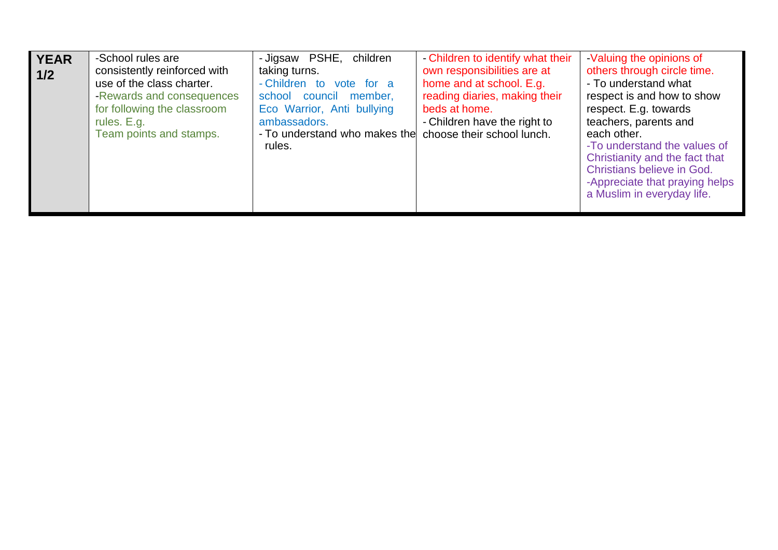| <b>YEAR</b><br>1/2 | -School rules are<br>consistently reinforced with<br>use of the class charter.<br>-Rewards and consequences<br>for following the classroom<br>rules. E.g.<br>Team points and stamps. | - Jigsaw PSHE,<br>children<br>taking turns.<br>- Children to vote for a<br>school council member,<br>Eco Warrior, Anti bullying<br>ambassadors.<br>- To understand who makes the<br>rules. | - Children to identify what their<br>own responsibilities are at<br>home and at school. E.g.<br>reading diaries, making their<br>beds at home.<br>- Children have the right to<br>choose their school lunch. | -Valuing the opinions of<br>others through circle time.<br>- To understand what<br>respect is and how to show<br>respect. E.g. towards<br>teachers, parents and<br>each other.<br>-To understand the values of<br>Christianity and the fact that<br>Christians believe in God.<br>-Appreciate that praying helps<br>a Muslim in everyday life. |
|--------------------|--------------------------------------------------------------------------------------------------------------------------------------------------------------------------------------|--------------------------------------------------------------------------------------------------------------------------------------------------------------------------------------------|--------------------------------------------------------------------------------------------------------------------------------------------------------------------------------------------------------------|------------------------------------------------------------------------------------------------------------------------------------------------------------------------------------------------------------------------------------------------------------------------------------------------------------------------------------------------|
|--------------------|--------------------------------------------------------------------------------------------------------------------------------------------------------------------------------------|--------------------------------------------------------------------------------------------------------------------------------------------------------------------------------------------|--------------------------------------------------------------------------------------------------------------------------------------------------------------------------------------------------------------|------------------------------------------------------------------------------------------------------------------------------------------------------------------------------------------------------------------------------------------------------------------------------------------------------------------------------------------------|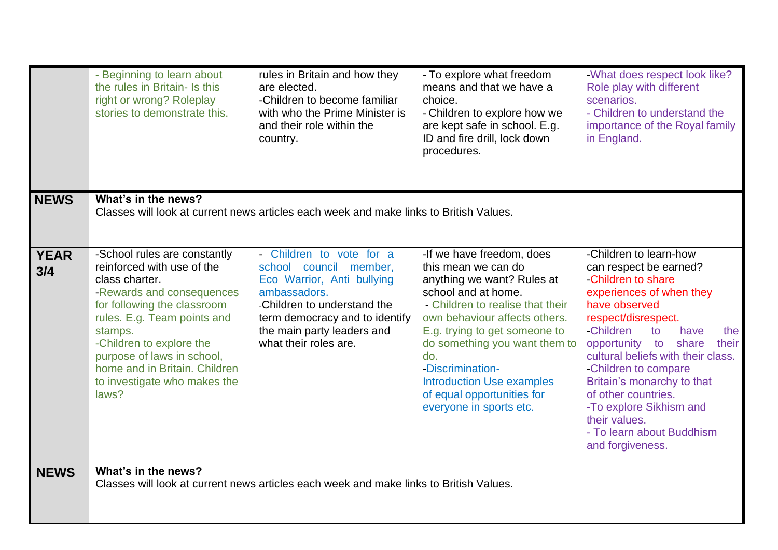|                    | - Beginning to learn about<br>the rules in Britain- Is this<br>right or wrong? Roleplay<br>stories to demonstrate this.                                                                                                                                                                                                | rules in Britain and how they<br>are elected.<br>-Children to become familiar<br>with who the Prime Minister is<br>and their role within the<br>country.                                                                 | - To explore what freedom<br>means and that we have a<br>choice.<br>- Children to explore how we<br>are kept safe in school. E.g.<br>ID and fire drill, lock down<br>procedures.                                                                                                                                                                                     | -What does respect look like?<br>Role play with different<br>scenarios.<br>- Children to understand the<br>importance of the Royal family<br>in England.                                                                                                                                                                                                                                                                         |
|--------------------|------------------------------------------------------------------------------------------------------------------------------------------------------------------------------------------------------------------------------------------------------------------------------------------------------------------------|--------------------------------------------------------------------------------------------------------------------------------------------------------------------------------------------------------------------------|----------------------------------------------------------------------------------------------------------------------------------------------------------------------------------------------------------------------------------------------------------------------------------------------------------------------------------------------------------------------|----------------------------------------------------------------------------------------------------------------------------------------------------------------------------------------------------------------------------------------------------------------------------------------------------------------------------------------------------------------------------------------------------------------------------------|
| <b>NEWS</b>        | What's in the news?<br>Classes will look at current news articles each week and make links to British Values.                                                                                                                                                                                                          |                                                                                                                                                                                                                          |                                                                                                                                                                                                                                                                                                                                                                      |                                                                                                                                                                                                                                                                                                                                                                                                                                  |
| <b>YEAR</b><br>3/4 | -School rules are constantly<br>reinforced with use of the<br>class charter.<br>-Rewards and consequences<br>for following the classroom<br>rules. E.g. Team points and<br>stamps.<br>-Children to explore the<br>purpose of laws in school,<br>home and in Britain. Children<br>to investigate who makes the<br>laws? | - Children to vote for a<br>school council member,<br>Eco Warrior, Anti bullying<br>ambassadors.<br>-Children to understand the<br>term democracy and to identify<br>the main party leaders and<br>what their roles are. | -If we have freedom, does<br>this mean we can do<br>anything we want? Rules at<br>school and at home.<br>- Children to realise that their<br>own behaviour affects others.<br>E.g. trying to get someone to<br>do something you want them to<br>do.<br>-Discrimination-<br><b>Introduction Use examples</b><br>of equal opportunities for<br>everyone in sports etc. | -Children to learn-how<br>can respect be earned?<br>-Children to share<br>experiences of when they<br>have observed<br>respect/disrespect.<br>-Children<br>to<br>have<br>the<br>opportunity to<br>share<br>their<br>cultural beliefs with their class.<br>-Children to compare<br>Britain's monarchy to that<br>of other countries.<br>-To explore Sikhism and<br>their values.<br>- To learn about Buddhism<br>and forgiveness. |
| <b>NEWS</b>        | What's in the news?                                                                                                                                                                                                                                                                                                    | Classes will look at current news articles each week and make links to British Values.                                                                                                                                   |                                                                                                                                                                                                                                                                                                                                                                      |                                                                                                                                                                                                                                                                                                                                                                                                                                  |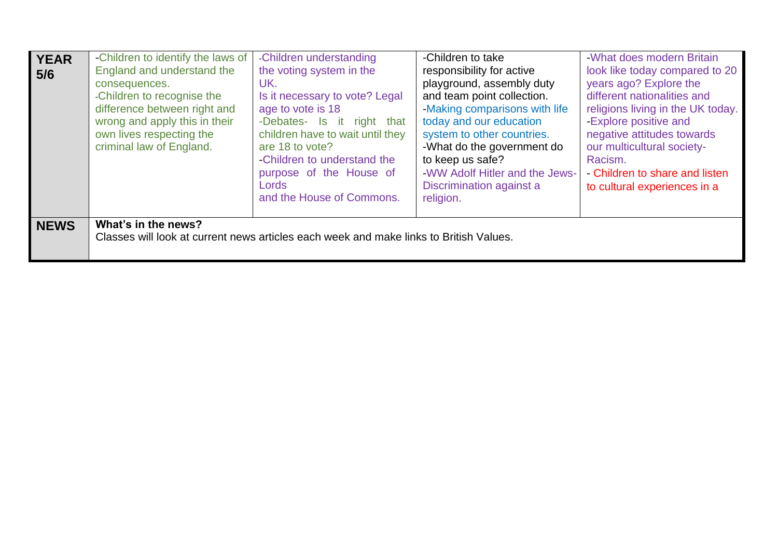| <b>YEAR</b><br>5/6 | -Children to identify the laws of<br>England and understand the<br>consequences.<br>-Children to recognise the<br>difference between right and<br>wrong and apply this in their<br>own lives respecting the<br>criminal law of England. | -Children understanding<br>the voting system in the<br>UK.<br>Is it necessary to vote? Legal<br>age to vote is 18<br>-Debates- Is it right that<br>children have to wait until they<br>are 18 to vote?<br>-Children to understand the<br>purpose of the House of<br>Lords<br>and the House of Commons. | -Children to take<br>responsibility for active<br>playground, assembly duty<br>and team point collection.<br>-Making comparisons with life<br>today and our education<br>system to other countries.<br>-What do the government do<br>to keep us safe?<br>-WW Adolf Hitler and the Jews-<br>Discrimination against a<br>religion. | -What does modern Britain<br>look like today compared to 20<br>years ago? Explore the<br>different nationalities and<br>religions living in the UK today.<br>-Explore positive and<br>negative attitudes towards<br>our multicultural society-<br>Racism.<br>- Children to share and listen<br>to cultural experiences in a |
|--------------------|-----------------------------------------------------------------------------------------------------------------------------------------------------------------------------------------------------------------------------------------|--------------------------------------------------------------------------------------------------------------------------------------------------------------------------------------------------------------------------------------------------------------------------------------------------------|----------------------------------------------------------------------------------------------------------------------------------------------------------------------------------------------------------------------------------------------------------------------------------------------------------------------------------|-----------------------------------------------------------------------------------------------------------------------------------------------------------------------------------------------------------------------------------------------------------------------------------------------------------------------------|
| <b>NEWS</b>        | What's in the news?                                                                                                                                                                                                                     | Classes will look at current news articles each week and make links to British Values.                                                                                                                                                                                                                 |                                                                                                                                                                                                                                                                                                                                  |                                                                                                                                                                                                                                                                                                                             |